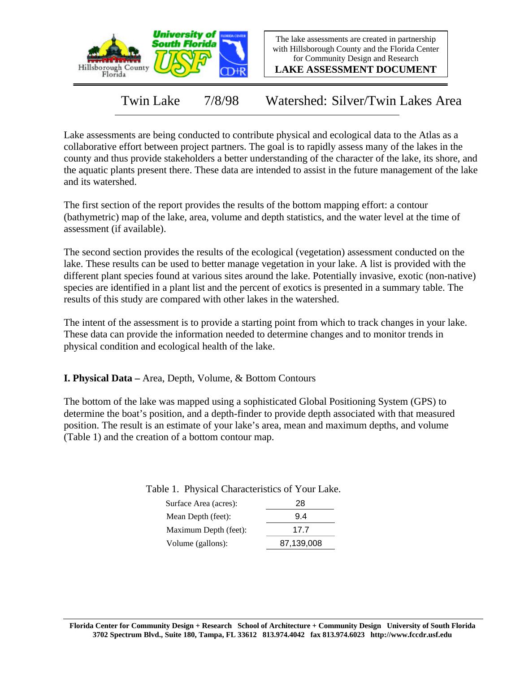

The lake assessments are created in partnership with Hillsborough County and the Florida Center for Community Design and Research

**LAKE ASSESSMENT DOCUMENT**

Twin Lake 7/8/98 Watershed: Silver/Twin Lakes Area

Lake assessments are being conducted to contribute physical and ecological data to the Atlas as a collaborative effort between project partners. The goal is to rapidly assess many of the lakes in the county and thus provide stakeholders a better understanding of the character of the lake, its shore, and the aquatic plants present there. These data are intended to assist in the future management of the lake and its watershed.

The first section of the report provides the results of the bottom mapping effort: a contour (bathymetric) map of the lake, area, volume and depth statistics, and the water level at the time of assessment (if available).

The second section provides the results of the ecological (vegetation) assessment conducted on the lake. These results can be used to better manage vegetation in your lake. A list is provided with the different plant species found at various sites around the lake. Potentially invasive, exotic (non-native) species are identified in a plant list and the percent of exotics is presented in a summary table. The results of this study are compared with other lakes in the watershed.

The intent of the assessment is to provide a starting point from which to track changes in your lake. These data can provide the information needed to determine changes and to monitor trends in physical condition and ecological health of the lake.

**I. Physical Data –** Area, Depth, Volume, & Bottom Contours

The bottom of the lake was mapped using a sophisticated Global Positioning System (GPS) to determine the boat's position, and a depth-finder to provide depth associated with that measured position. The result is an estimate of your lake's area, mean and maximum depths, and volume (Table 1) and the creation of a bottom contour map.

| ----------            |            |
|-----------------------|------------|
| Surface Area (acres): | 28         |
| Mean Depth (feet):    | 9.4        |
| Maximum Depth (feet): | 17 7       |
| Volume (gallons):     | 87,139,008 |

Table 1. Physical Characteristics of Your Lake.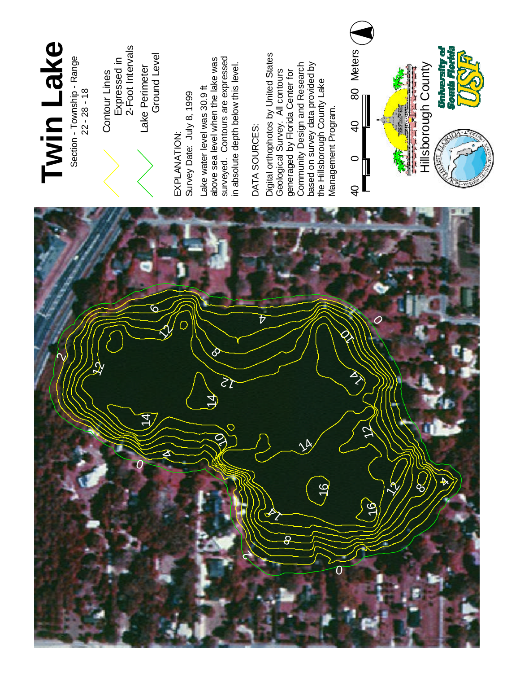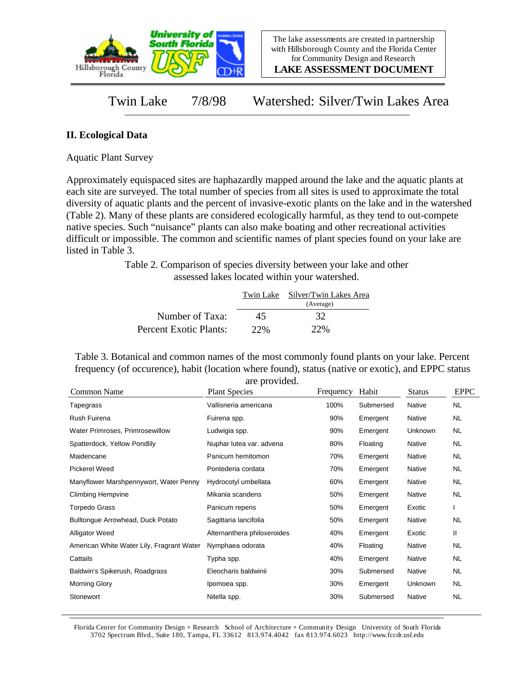

**LAKE ASSESSMENT DOCUMENT**

Twin Lake 7/8/98 Watershed: Silver/Twin Lakes Area

## **II. Ecological Data**

Aquatic Plant Survey

Approximately equispaced sites are haphazardly mapped around the lake and the aquatic plants at each site are surveyed. The total number of species from all sites is used to approximate the total diversity of aquatic plants and the percent of invasive-exotic plants on the lake and in the watershed (Table 2). Many of these plants are considered ecologically harmful, as they tend to out-compete native species. Such "nuisance" plants can also make boating and other recreational activities difficult or impossible. The common and scientific names of plant species found on your lake are listed in Table 3.

> Table 2. Comparison of species diversity between your lake and other assessed lakes located within your watershed.

|                        |     | Twin Lake Silver/Twin Lakes Area |
|------------------------|-----|----------------------------------|
|                        |     | (Average)                        |
| Number of Taxa:        | 45  | 32                               |
| Percent Exotic Plants: | 22% | 22%                              |

Table 3. Botanical and common names of the most commonly found plants on your lake. Percent frequency (of occurence), habit (location where found), status (native or exotic), and EPPC status are provided.

| Common Name                               | <b>Plant Species</b>        | Frequency | Habit     | <b>Status</b> | <b>EPPC</b> |
|-------------------------------------------|-----------------------------|-----------|-----------|---------------|-------------|
| Tapegrass                                 | Vallisneria americana       | 100%      | Submersed | <b>Native</b> | NL.         |
| Rush Fuirena                              | Fuirena spp.                | 90%       | Emergent  | Native        | <b>NL</b>   |
| Water Primroses, Primrosewillow           | Ludwigia spp.               | 90%       | Emergent  | Unknown       | <b>NL</b>   |
| Spatterdock, Yellow Pondlily              | Nuphar lutea var. advena    | 80%       | Floating  | Native        | <b>NL</b>   |
| Maidencane                                | Panicum hemitomon           | 70%       | Emergent  | Native        | <b>NL</b>   |
| <b>Pickerel Weed</b>                      | Pontederia cordata          | 70%       | Emergent  | Native        | <b>NL</b>   |
| Manyflower Marshpennywort, Water Penny    | Hydrocotyl umbellata        | 60%       | Emergent  | Native        | <b>NL</b>   |
| <b>Climbing Hempvine</b>                  | Mikania scandens            | 50%       | Emergent  | Native        | NL.         |
| <b>Torpedo Grass</b>                      | Panicum repens              | 50%       | Emergent  | Exotic        |             |
| Bulltongue Arrowhead, Duck Potato         | Sagittaria lancifolia       | 50%       | Emergent  | Native        | NL          |
| <b>Alligator Weed</b>                     | Alternanthera philoxeroides | 40%       | Emergent  | Exotic        | Ш           |
| American White Water Lily, Fragrant Water | Nymphaea odorata            | 40%       | Floating  | Native        | <b>NL</b>   |
| Cattails                                  | Typha spp.                  | 40%       | Emergent  | Native        | NL.         |
| Baldwin's Spikerush, Roadgrass            | Eleocharis baldwinii        | 30%       | Submersed | Native        | NL.         |
| <b>Morning Glory</b>                      | Ipomoea spp.                | 30%       | Emergent  | Unknown       | NL.         |
| Stonewort                                 | Nitella spp.                | 30%       | Submersed | Native        | <b>NL</b>   |

Florida Center for Community Design + Research School of Architecture + Community Design University of South Florida 3702 Spectrum Blvd., Suite 180, Tampa, FL 33612 813.974.4042 fax 813.974.6023 http://www.fccdr.usf.edu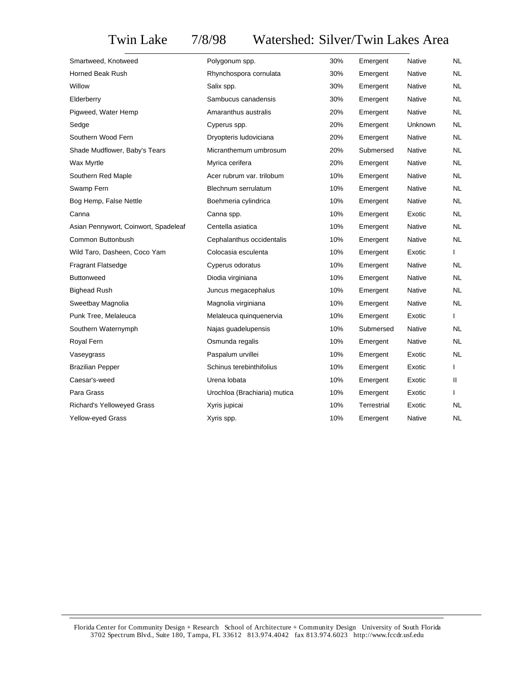## Twin Lake 7/8/98 Watershed: Silver/Twin Lakes Area

| Smartweed, Knotweed                  | Polygonum spp.               | 30% | Emergent    | Native        | NL        |
|--------------------------------------|------------------------------|-----|-------------|---------------|-----------|
| Horned Beak Rush                     | Rhynchospora cornulata       | 30% | Emergent    | Native        | NL        |
| Willow                               | Salix spp.                   | 30% | Emergent    | Native        | NL        |
| Elderberry                           | Sambucus canadensis          | 30% | Emergent    | Native        | NL        |
| Pigweed, Water Hemp                  | Amaranthus australis         | 20% | Emergent    | Native        | NL        |
| Sedge                                | Cyperus spp.                 | 20% | Emergent    | Unknown       | NL        |
| Southern Wood Fern                   | Dryopteris ludoviciana       | 20% | Emergent    | Native        | NL.       |
| Shade Mudflower, Baby's Tears        | Micranthemum umbrosum        | 20% | Submersed   | <b>Native</b> | NL.       |
| Wax Myrtle                           | Myrica cerifera              | 20% | Emergent    | <b>Native</b> | NL.       |
| Southern Red Maple                   | Acer rubrum var. trilobum    | 10% | Emergent    | <b>Native</b> | NL.       |
| Swamp Fern                           | Blechnum serrulatum          | 10% | Emergent    | Native        | NL.       |
| Bog Hemp, False Nettle               | Boehmeria cylindrica         | 10% | Emergent    | <b>Native</b> | NL.       |
| Canna                                | Canna spp.                   | 10% | Emergent    | Exotic        | NL.       |
| Asian Pennywort, Coinwort, Spadeleaf | Centella asiatica            | 10% | Emergent    | Native        | NL.       |
| Common Buttonbush                    | Cephalanthus occidentalis    | 10% | Emergent    | Native        | NL.       |
| Wild Taro, Dasheen, Coco Yam         | Colocasia esculenta          | 10% | Emergent    | Exotic        | L         |
| <b>Fragrant Flatsedge</b>            | Cyperus odoratus             | 10% | Emergent    | <b>Native</b> | NL.       |
| <b>Buttonweed</b>                    | Diodia virginiana            | 10% | Emergent    | Native        | <b>NL</b> |
| <b>Bighead Rush</b>                  | Juncus megacephalus          | 10% | Emergent    | Native        | NL.       |
| Sweetbay Magnolia                    | Magnolia virginiana          | 10% | Emergent    | Native        | <b>NL</b> |
| Punk Tree, Melaleuca                 | Melaleuca quinquenervia      | 10% | Emergent    | Exotic        | L         |
| Southern Waternymph                  | Najas guadelupensis          | 10% | Submersed   | Native        | <b>NL</b> |
| Royal Fern                           | Osmunda regalis              | 10% | Emergent    | Native        | <b>NL</b> |
| Vaseygrass                           | Paspalum urvillei            | 10% | Emergent    | Exotic        | NL.       |
| <b>Brazilian Pepper</b>              | Schinus terebinthifolius     | 10% | Emergent    | Exotic        |           |
| Caesar's-weed                        | Urena lobata                 | 10% | Emergent    | Exotic        | Ш         |
| Para Grass                           | Urochloa (Brachiaria) mutica | 10% | Emergent    | Exotic        | L         |
| <b>Richard's Yelloweyed Grass</b>    | Xyris jupicai                | 10% | Terrestrial | Exotic        | NL.       |
| Yellow-eyed Grass                    | Xyris spp.                   | 10% | Emergent    | Native        | <b>NL</b> |
|                                      |                              |     |             |               |           |